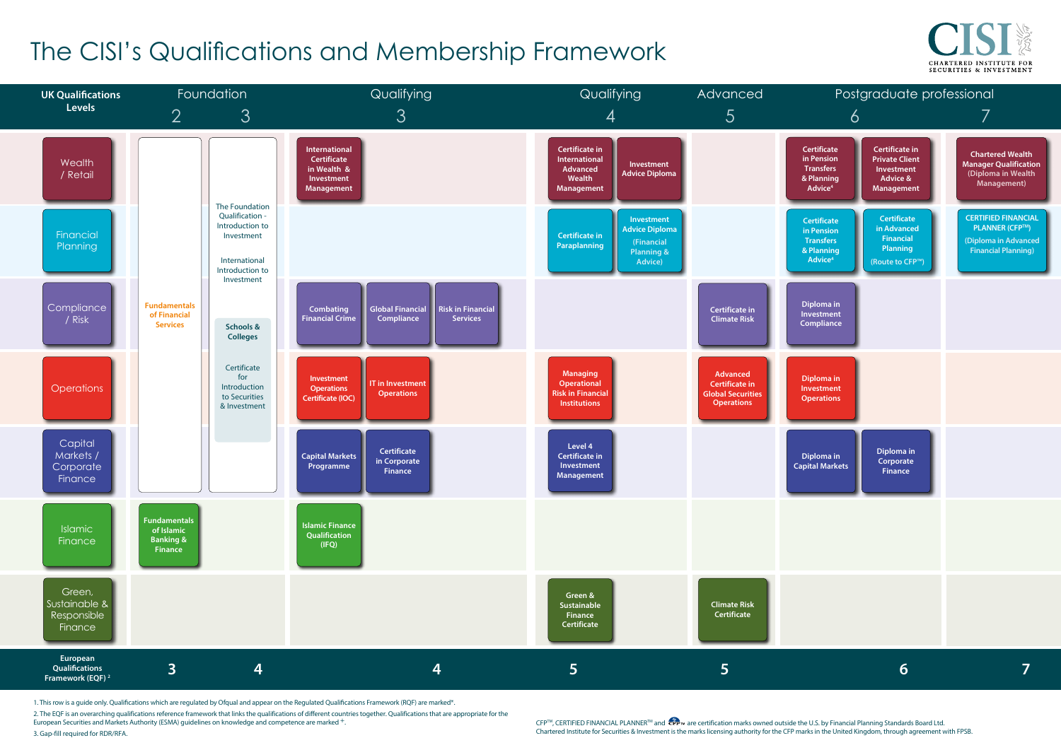## The CISI's Qualifications and Membership Framework

2. The EQF is an overarching qualifications reference framework that links the qualifications of different countries together. Qualifications that are appropriate for the European Securities and Markets Authority (ESMA) guidelines on knowledge and competence are marked +. 3. Gap-fill required for RDR/RFA.

 $CFP^{TM}$ , CERTIFIED FINANCIAL PLANNER<sup>TM</sup> and  $\overline{CFP^{TM}}$  are certification marks owned outside the U.S. by Financial Planning Standards Board Ltd. Chartered Institute for Securities & Investment is the marks licensing authority for the CFP marks in the United Kingdom, through agreement with FPSB.





1. This row is a quide only. Qualifications which are regulated by Ofqual and appear on the Regulated Qualifications Framework (RQF) are marked\*